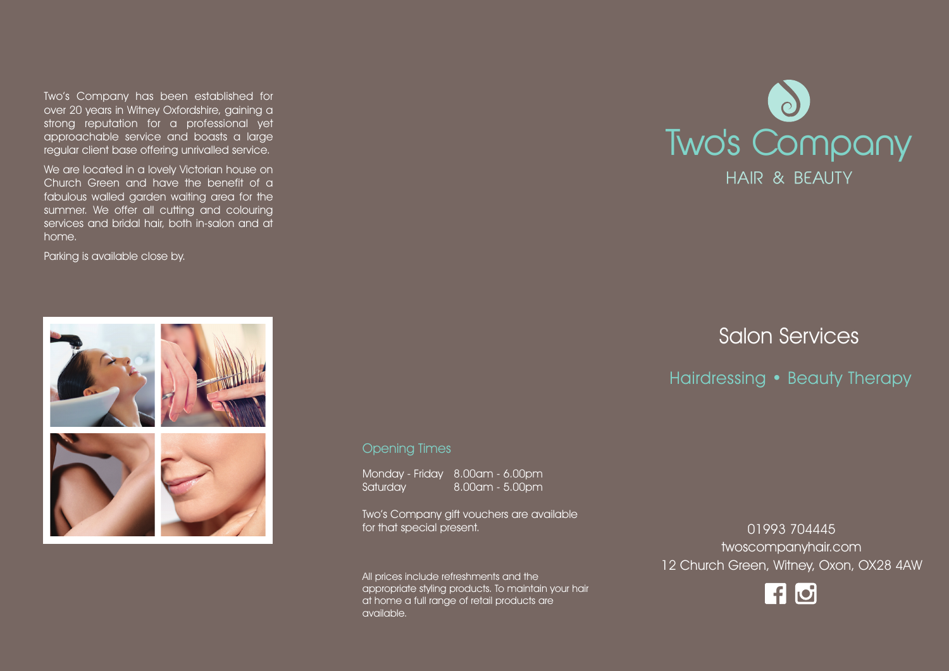Two's Company has been established for over 20 years in Witney Oxfordshire, gaining a strong reputation for a professional yet approachable service and boasts a large regular client base offering unrivalled service.

We are located in a lovely Victorian house on Church Green and have the benefit of a fabulous walled garden waiting area for the summer. We offer all cutting and colouring services and bridal hair, both in-salon and at home.

Parking is available close by.



# Two's Company HAIR & BEAUTY

# Salon Services

## Hairdressing • Beauty Therapy

#### Opening Times

Monday - Friday 8.00am - 6.00pm Saturday 8.00am - 5.00pm

Two's Company gift vouchers are available for that special present.

All prices include refreshments and the appropriate styling products. To maintain your hair at home a full range of retail products are available.

01993 704445 twoscompanyhair.com 12 Church Green, Witney, Oxon, OX28 4AW